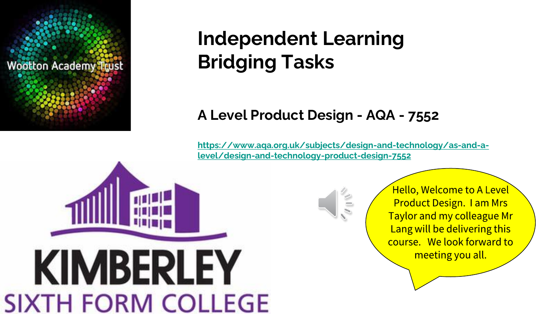

# **Independent Learning Bridging Tasks**

# **A Level Product Design - AQA - 7552**

**[https://www.aqa.org.uk/subjects/design-and-technology/as-and-a](https://www.aqa.org.uk/subjects/design-and-technology/as-and-a-level/design-and-technology-product-design-7552)level/design-and-technology-product-design-7552**





**Hello, Welcome to A Level Product Design. I am Mrs** Taylor and my colleague Mr Lang will be delivering this course. We look forward to meeting you all.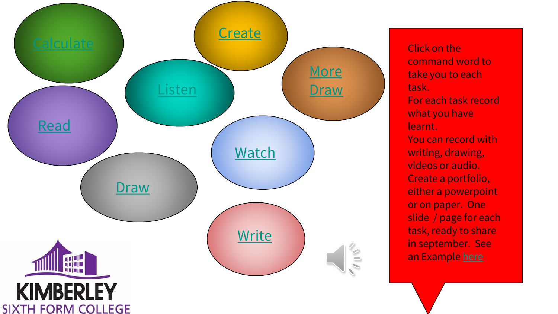

command word to take you to each task. For each task record what you have learnt. You can record with writing, drawing, videos or audio. Create a portfolio, either a powerpoint or on paper. One slide / page for each task, ready to share in september. See an Example [here](#page-2-0)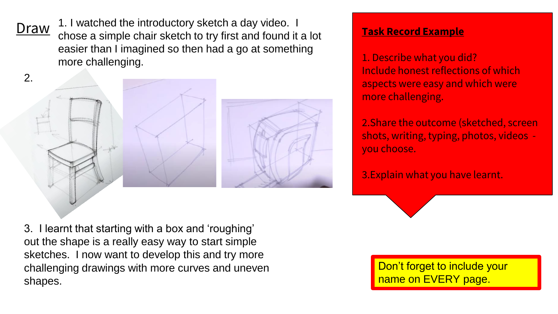<span id="page-2-0"></span>Draw 1.1 Watched the Introductory sketch a day video.<br>Draw chose a simple chair sketch to try first and found it a lot **Task Record Example** 1. I watched the introductory sketch a day video. I easier than I imagined so then had a go at something more challenging.

2.



3. I learnt that starting with a box and 'roughing' out the shape is a really easy way to start simple sketches. I now want to develop this and try more challenging drawings with more curves and uneven shapes.

1. Describe what you did? Include honest reflections of which aspects were easy and which were more challenging.

2.Share the outcome (sketched, screen shots, writing, typing, photos, videos you choose.

3.Explain what you have learnt.

Don't forget to include your name on EVERY page.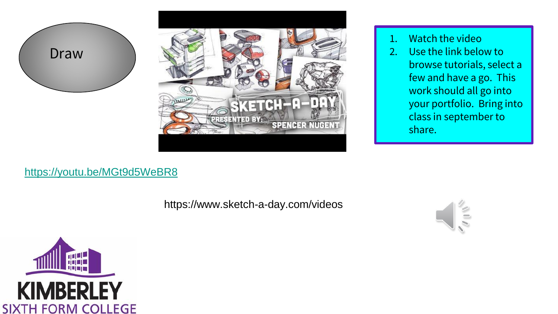<span id="page-3-0"></span>



- 1. Watch the video
- 2. Use the link below to browse tutorials, select a few and have a go. This work should all go into your portfolio. Bring into class in september to share.

## <https://youtu.be/MGt9d5WeBR8>

https://www.sketch-a-day.com/videos



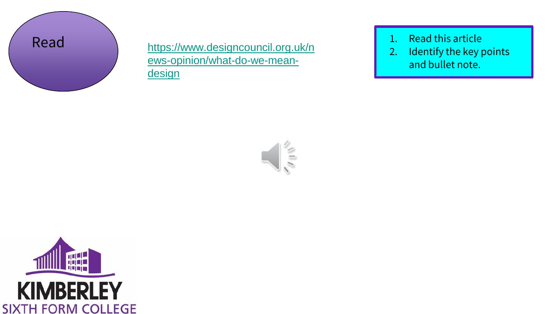<span id="page-4-0"></span>

Read 1. Read this article<br>
Read 1. Read this article<br>
1. Read this article ews-opinion/what-do-we-meandesign

- 
- 2. Identify the key points and bullet note.



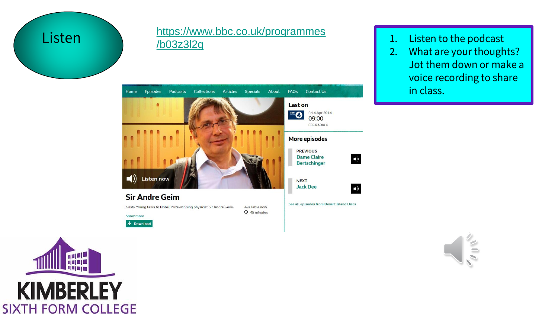<span id="page-5-0"></span>

#### Listen 1. Listen to the podcast [https://www.bbc.co.uk/programmes](https://www.bbc.co.uk/programmes/b03z3l2g) /b03z3l2g



- 
- 2. What are your thoughts? Jot them down or make a voice recording to share in class.



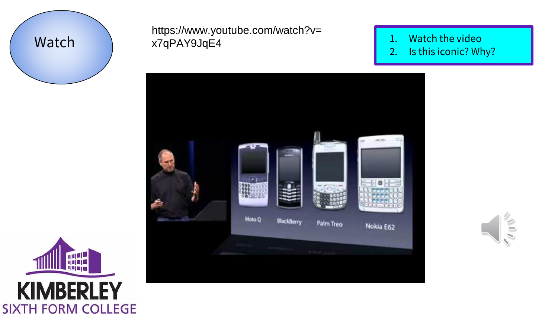<span id="page-6-0"></span>

## Watch x7qPAY9JqE4 and x7qPAY9JqE4 https://www.youtube.com/watch?v=

- 
- 2. Is this iconic? Why?





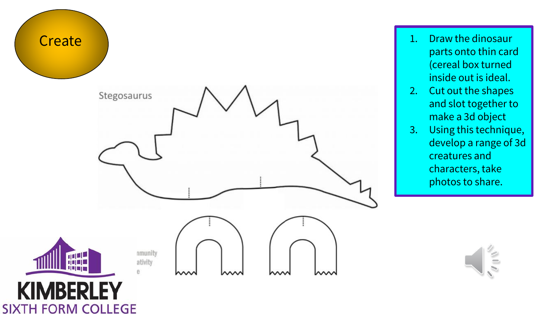<span id="page-7-0"></span>

- parts onto thin card (cereal box turned inside out is ideal.
- 2. Cut out the shapes and slot together to make a 3d object
- 3. Using this technique, develop a range of 3d creatures and characters, take photos to share.

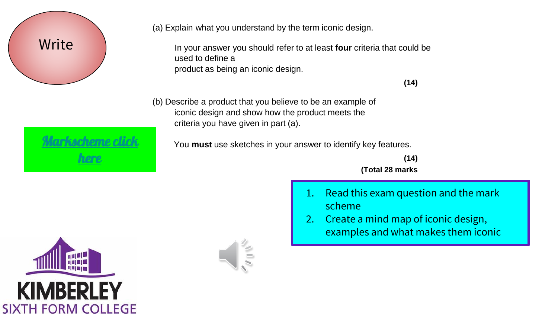<span id="page-8-0"></span>

(a) Explain what you understand by the term iconic design.

In your answer you should refer to at least **four** criteria that could be used to define a product as being an iconic design.

**(14)** 

(b) Describe a product that you believe to be an example of iconic design and show how the product meets the criteria you have given in part (a).

You **must** use sketches in your answer to identify key features.

**(14) (Total 28 marks**

- 1. Read this exam question and the mark scheme
- 2. Create a mind map of iconic design, examples and what makes them iconic



[Markscheme click](#page-9-0) 

here

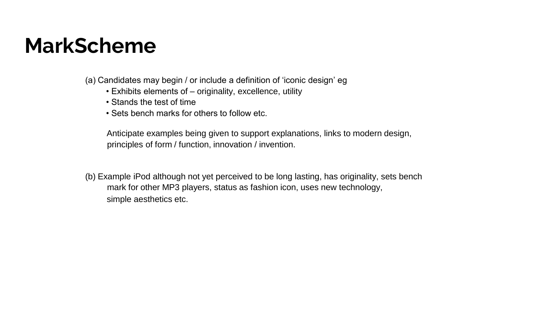# <span id="page-9-0"></span>**MarkScheme**

(a) Candidates may begin / or include a definition of 'iconic design' eg

- Exhibits elements of originality, excellence, utility
- Stands the test of time
- Sets bench marks for others to follow etc.

Anticipate examples being given to support explanations, links to modern design, principles of form / function, innovation / invention.

(b) Example iPod although not yet perceived to be long lasting, has originality, sets bench mark for other MP3 players, status as fashion icon, uses new technology, simple aesthetics etc.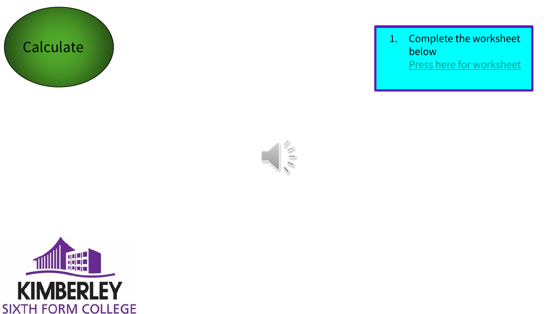<span id="page-10-0"></span>

Calculate 1. Complete the worksheet below [Press here for worksheet](#page-11-0)

 $\sqrt{10}$ 

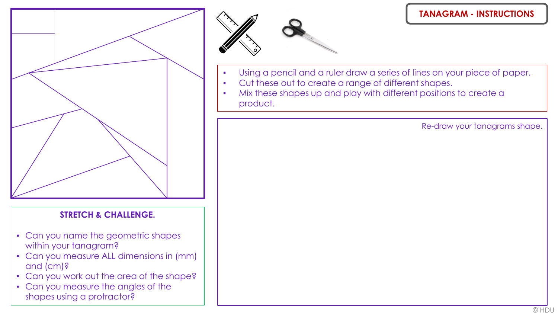<span id="page-11-0"></span>

### **STRETCH & CHALLENGE.**

- Can you name the geometric shapes within your tanagram?
- Can you measure ALL dimensions in (mm) and (cm)?
- Can you work out the area of the shape?
- Can you measure the angles of the shapes using a protractor?



#### **TANAGRAM - INSTRUCTIONS**

- Using a pencil and a ruler draw a series of lines on your piece of paper.
- Cut these out to create a range of different shapes.
- Mix these shapes up and play with different positions to create a product.

Re-draw your tanagrams shape.